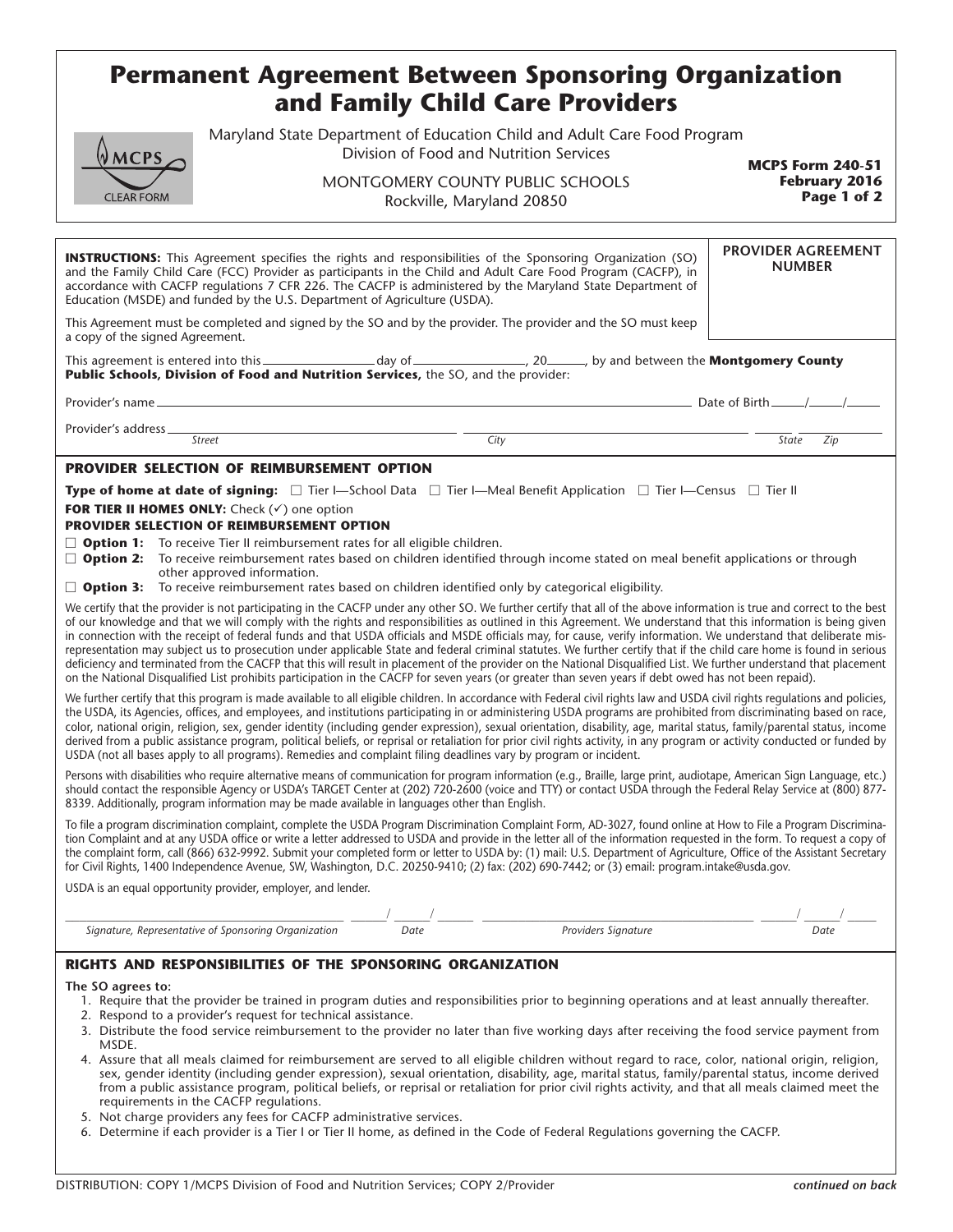# **Permanent Agreement Between Sponsoring Organization and Family Child Care Providers**

Maryland State Department of Education Child and Adult Care Food Program Division of Food and Nutrition Services

# **MCPS CLEAR FORM**

MONTGOMERY COUNTY PUBLIC SCHOOLS Rockville, Maryland 20850

**MCPS Form 240-51 February 2016 Page 1 of 2**

| <b>PROVIDER AGREEMENT</b><br><b>INSTRUCTIONS:</b> This Agreement specifies the rights and responsibilities of the Sponsoring Organization (SO)<br><b>NUMBER</b><br>and the Family Child Care (FCC) Provider as participants in the Child and Adult Care Food Program (CACFP), in<br>accordance with CACFP regulations 7 CFR 226. The CACFP is administered by the Maryland State Department of<br>Education (MSDE) and funded by the U.S. Department of Agriculture (USDA).                                                                                                                                                                                                                                                                                                                                                                                                                                                                                                                                               |                                                                                                                                                                                                                                                                   |  |      |  |                                                                                                                                                                                           |
|---------------------------------------------------------------------------------------------------------------------------------------------------------------------------------------------------------------------------------------------------------------------------------------------------------------------------------------------------------------------------------------------------------------------------------------------------------------------------------------------------------------------------------------------------------------------------------------------------------------------------------------------------------------------------------------------------------------------------------------------------------------------------------------------------------------------------------------------------------------------------------------------------------------------------------------------------------------------------------------------------------------------------|-------------------------------------------------------------------------------------------------------------------------------------------------------------------------------------------------------------------------------------------------------------------|--|------|--|-------------------------------------------------------------------------------------------------------------------------------------------------------------------------------------------|
| This Agreement must be completed and signed by the SO and by the provider. The provider and the SO must keep<br>a copy of the signed Agreement.                                                                                                                                                                                                                                                                                                                                                                                                                                                                                                                                                                                                                                                                                                                                                                                                                                                                           |                                                                                                                                                                                                                                                                   |  |      |  |                                                                                                                                                                                           |
|                                                                                                                                                                                                                                                                                                                                                                                                                                                                                                                                                                                                                                                                                                                                                                                                                                                                                                                                                                                                                           |                                                                                                                                                                                                                                                                   |  |      |  |                                                                                                                                                                                           |
|                                                                                                                                                                                                                                                                                                                                                                                                                                                                                                                                                                                                                                                                                                                                                                                                                                                                                                                                                                                                                           |                                                                                                                                                                                                                                                                   |  |      |  |                                                                                                                                                                                           |
|                                                                                                                                                                                                                                                                                                                                                                                                                                                                                                                                                                                                                                                                                                                                                                                                                                                                                                                                                                                                                           | $\begin{tabular}{c} \multicolumn{2}{c} {\textbf{~}} \end{tabular}$                                                                                                                                                                                                |  | City |  | State<br>Zip                                                                                                                                                                              |
| <b>PROVIDER SELECTION OF REIMBURSEMENT OPTION</b>                                                                                                                                                                                                                                                                                                                                                                                                                                                                                                                                                                                                                                                                                                                                                                                                                                                                                                                                                                         |                                                                                                                                                                                                                                                                   |  |      |  |                                                                                                                                                                                           |
| <b>Type of home at date of signing:</b> $\Box$ Tier I—School Data $\Box$ Tier I—Meal Benefit Application $\Box$ Tier I—Census $\Box$ Tier II                                                                                                                                                                                                                                                                                                                                                                                                                                                                                                                                                                                                                                                                                                                                                                                                                                                                              |                                                                                                                                                                                                                                                                   |  |      |  |                                                                                                                                                                                           |
| FOR TIER II HOMES ONLY: Check $(\checkmark)$ one option                                                                                                                                                                                                                                                                                                                                                                                                                                                                                                                                                                                                                                                                                                                                                                                                                                                                                                                                                                   |                                                                                                                                                                                                                                                                   |  |      |  |                                                                                                                                                                                           |
| <b>PROVIDER SELECTION OF REIMBURSEMENT OPTION</b>                                                                                                                                                                                                                                                                                                                                                                                                                                                                                                                                                                                                                                                                                                                                                                                                                                                                                                                                                                         |                                                                                                                                                                                                                                                                   |  |      |  |                                                                                                                                                                                           |
|                                                                                                                                                                                                                                                                                                                                                                                                                                                                                                                                                                                                                                                                                                                                                                                                                                                                                                                                                                                                                           | $\Box$ <b>Option 1:</b> To receive Tier II reimbursement rates for all eligible children.<br>□ Option 2: To receive reimbursement rates based on children identified through income stated on meal benefit applications or through<br>other approved information. |  |      |  |                                                                                                                                                                                           |
| $\Box$ <b>Option 3:</b> To receive reimbursement rates based on children identified only by categorical eligibility.                                                                                                                                                                                                                                                                                                                                                                                                                                                                                                                                                                                                                                                                                                                                                                                                                                                                                                      |                                                                                                                                                                                                                                                                   |  |      |  |                                                                                                                                                                                           |
| We certify that the provider is not participating in the CACFP under any other SO. We further certify that all of the above information is true and correct to the best<br>of our knowledge and that we will comply with the rights and responsibilities as outlined in this Agreement. We understand that this information is being given<br>in connection with the receipt of federal funds and that USDA officials and MSDE officials may, for cause, verify information. We understand that deliberate mis-<br>representation may subject us to prosecution under applicable State and federal criminal statutes. We further certify that if the child care home is found in serious<br>deficiency and terminated from the CACFP that this will result in placement of the provider on the National Disqualified List. We further understand that placement<br>on the National Disqualified List prohibits participation in the CACFP for seven years (or greater than seven years if debt owed has not been repaid). |                                                                                                                                                                                                                                                                   |  |      |  |                                                                                                                                                                                           |
| We further certify that this program is made available to all eligible children. In accordance with Federal civil rights law and USDA civil rights regulations and policies,<br>the USDA, its Agencies, offices, and employees, and institutions participating in or administering USDA programs are prohibited from discriminating based on race,<br>color, national origin, religion, sex, gender identity (including gender expression), sexual orientation, disability, age, marital status, family/parental status, income<br>derived from a public assistance program, political beliefs, or reprisal or retaliation for prior civil rights activity, in any program or activity conducted or funded by<br>USDA (not all bases apply to all programs). Remedies and complaint filing deadlines vary by program or incident.                                                                                                                                                                                         |                                                                                                                                                                                                                                                                   |  |      |  |                                                                                                                                                                                           |
| Persons with disabilities who require alternative means of communication for program information (e.g., Braille, large print, audiotape, American Sign Language, etc.)<br>should contact the responsible Agency or USDA's TARGET Center at (202) 720-2600 (voice and TTY) or contact USDA through the Federal Relay Service at (800) 877-<br>8339. Additionally, program information may be made available in languages other than English.                                                                                                                                                                                                                                                                                                                                                                                                                                                                                                                                                                               |                                                                                                                                                                                                                                                                   |  |      |  |                                                                                                                                                                                           |
| To file a program discrimination complaint, complete the USDA Program Discrimination Complaint Form, AD-3027, found online at How to File a Program Discrimina-<br>tion Complaint and at any USDA office or write a letter addressed to USDA and provide in the letter all of the information requested in the form. To request a copy of<br>the complaint form, call (866) 632-9992. Submit your completed form or letter to USDA by: (1) mail: U.S. Department of Agriculture, Office of the Assistant Secretary<br>for Civil Rights, 1400 Independence Avenue, SW, Washington, D.C. 20250-9410; (2) fax: (202) 690-7442; or (3) email: program.intake@usda.gov.                                                                                                                                                                                                                                                                                                                                                        |                                                                                                                                                                                                                                                                   |  |      |  |                                                                                                                                                                                           |
| USDA is an equal opportunity provider, employer, and lender.                                                                                                                                                                                                                                                                                                                                                                                                                                                                                                                                                                                                                                                                                                                                                                                                                                                                                                                                                              |                                                                                                                                                                                                                                                                   |  |      |  |                                                                                                                                                                                           |
|                                                                                                                                                                                                                                                                                                                                                                                                                                                                                                                                                                                                                                                                                                                                                                                                                                                                                                                                                                                                                           |                                                                                                                                                                                                                                                                   |  |      |  |                                                                                                                                                                                           |
|                                                                                                                                                                                                                                                                                                                                                                                                                                                                                                                                                                                                                                                                                                                                                                                                                                                                                                                                                                                                                           | Signature, Representative of Sponsoring Organization                                                                                                                                                                                                              |  |      |  | $\frac{1}{\text{nization}}$ $\frac{1}{\text{Date}}$ $\frac{1}{\text{Date}}$ $\frac{1}{\text{Date}}$ $\frac{1}{\text{Provides Signature}}$ $\frac{1}{\text{Date}}$ $\frac{1}{\text{Date}}$ |
| RIGHTS AND RESPONSIBILITIES OF THE SPONSORING ORGANIZATION                                                                                                                                                                                                                                                                                                                                                                                                                                                                                                                                                                                                                                                                                                                                                                                                                                                                                                                                                                |                                                                                                                                                                                                                                                                   |  |      |  |                                                                                                                                                                                           |
| The SO agrees to:<br>1. Require that the provider be trained in program duties and responsibilities prior to beginning operations and at least annually thereafter.<br>2. Respond to a provider's request for technical assistance.<br>3. Distribute the food service reimbursement to the provider no later than five working days after receiving the food service payment from<br>MSDE.<br>4. Assure that all meals claimed for reimbursement are served to all eligible children without regard to race, color, national origin, religion,<br>sex, gender identity (including gender expression), sexual orientation, disability, age, marital status, family/parental status, income derived                                                                                                                                                                                                                                                                                                                         |                                                                                                                                                                                                                                                                   |  |      |  |                                                                                                                                                                                           |
|                                                                                                                                                                                                                                                                                                                                                                                                                                                                                                                                                                                                                                                                                                                                                                                                                                                                                                                                                                                                                           |                                                                                                                                                                                                                                                                   |  |      |  |                                                                                                                                                                                           |

- from a public assistance program, political beliefs, or reprisal or retaliation for prior civil rights activity, and that all meals claimed meet the requirements in the CACFP regulations.
- 5. Not charge providers any fees for CACFP administrative services.
- 6. Determine if each provider is a Tier I or Tier II home, as defined in the Code of Federal Regulations governing the CACFP.